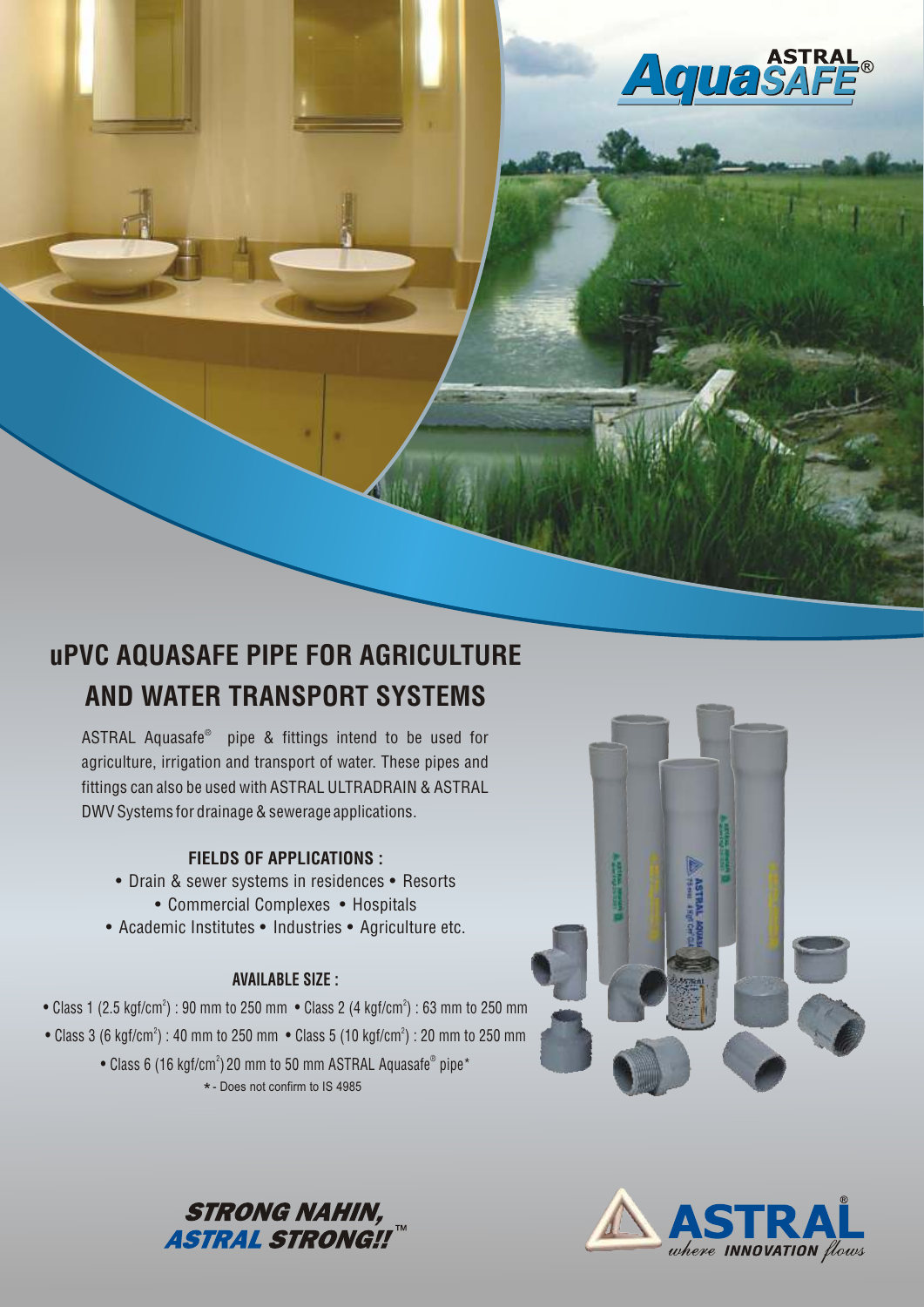

# uPVC AQUASAFE PIPE FOR AGRICULTURE AND WATER TRANSPORT SYSTEMS

ASTRAL Aquasafe<sup>®</sup> pipe & fittings intend to be used for agriculture, irrigation and transport of water. These pipes and fittings can also be used with ASTRAL ULTRADRAIN & ASTRAL DWV Systems for drainage & sewerage applications.

## FIELDS OF APPLICATIONS :

- **•** Drain & sewer systems in residences **•** Resorts **•** Commercial Complexes **•** Hospitals
- **•** Academic Institutes **•** Industries **•** Agriculture etc.

## AVAILABLE SIZE :

- Class 1 (2.5 kgf/cm<sup>2</sup>) : 90 mm to 250 mm Class 2 (4 kgf/cm<sup>2</sup>) : 63 mm to 250 mm
- Class 3 (6 kgf/cm²) : 40 mm to 250 mm Class 5 (10 kgf/cm²) : 20 mm to 250 mm
	- $\bullet$  Class 6 (16 kgf/cm²) 20 mm to 50 mm ASTRAL Aquasafe® pipe\* - Does not confirm to IS 4985 \*